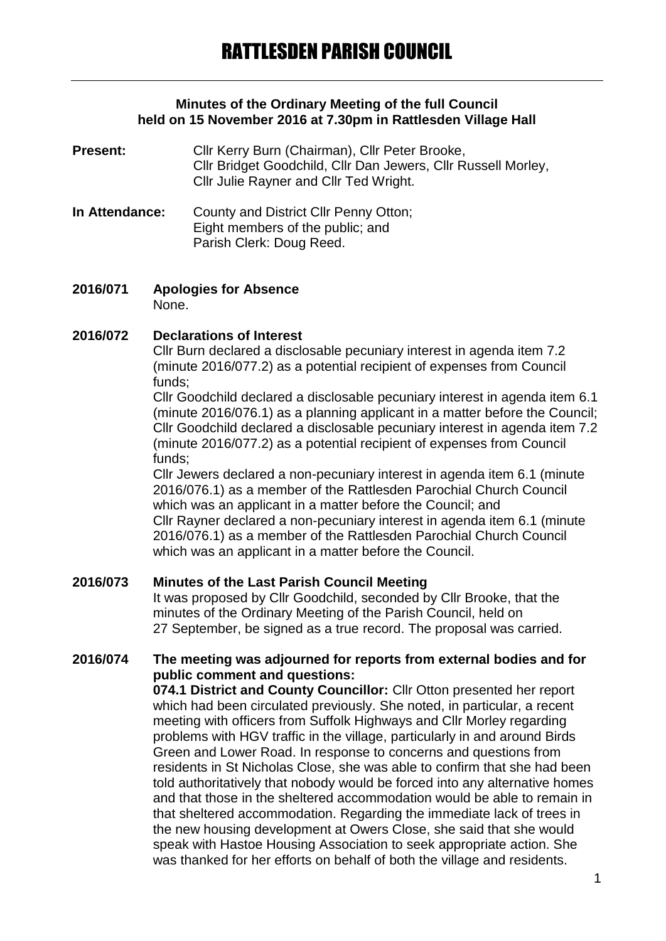## **Minutes of the Ordinary Meeting of the full Council held on 15 November 2016 at 7.30pm in Rattlesden Village Hall**

- **Present:** Cllr Kerry Burn (Chairman), Cllr Peter Brooke, Cllr Bridget Goodchild, Cllr Dan Jewers, Cllr Russell Morley, Cllr Julie Rayner and Cllr Ted Wright.
- **In Attendance:** County and District Cllr Penny Otton; Eight members of the public; and Parish Clerk: Doug Reed.
- **2016/071 Apologies for Absence** None.

## **2016/072 Declarations of Interest**

Cllr Burn declared a disclosable pecuniary interest in agenda item 7.2 (minute 2016/077.2) as a potential recipient of expenses from Council funds;

Cllr Goodchild declared a disclosable pecuniary interest in agenda item 6.1 (minute 2016/076.1) as a planning applicant in a matter before the Council; Cllr Goodchild declared a disclosable pecuniary interest in agenda item 7.2 (minute 2016/077.2) as a potential recipient of expenses from Council funds;

Cllr Jewers declared a non-pecuniary interest in agenda item 6.1 (minute 2016/076.1) as a member of the Rattlesden Parochial Church Council which was an applicant in a matter before the Council; and Cllr Rayner declared a non-pecuniary interest in agenda item 6.1 (minute 2016/076.1) as a member of the Rattlesden Parochial Church Council which was an applicant in a matter before the Council.

## **2016/073 Minutes of the Last Parish Council Meeting**

It was proposed by Cllr Goodchild, seconded by Cllr Brooke, that the minutes of the Ordinary Meeting of the Parish Council, held on 27 September, be signed as a true record. The proposal was carried.

## **2016/074 The meeting was adjourned for reports from external bodies and for public comment and questions:**

**074.1 District and County Councillor:** Cllr Otton presented her report which had been circulated previously. She noted, in particular, a recent meeting with officers from Suffolk Highways and Cllr Morley regarding problems with HGV traffic in the village, particularly in and around Birds Green and Lower Road. In response to concerns and questions from residents in St Nicholas Close, she was able to confirm that she had been told authoritatively that nobody would be forced into any alternative homes and that those in the sheltered accommodation would be able to remain in that sheltered accommodation. Regarding the immediate lack of trees in the new housing development at Owers Close, she said that she would speak with Hastoe Housing Association to seek appropriate action. She was thanked for her efforts on behalf of both the village and residents.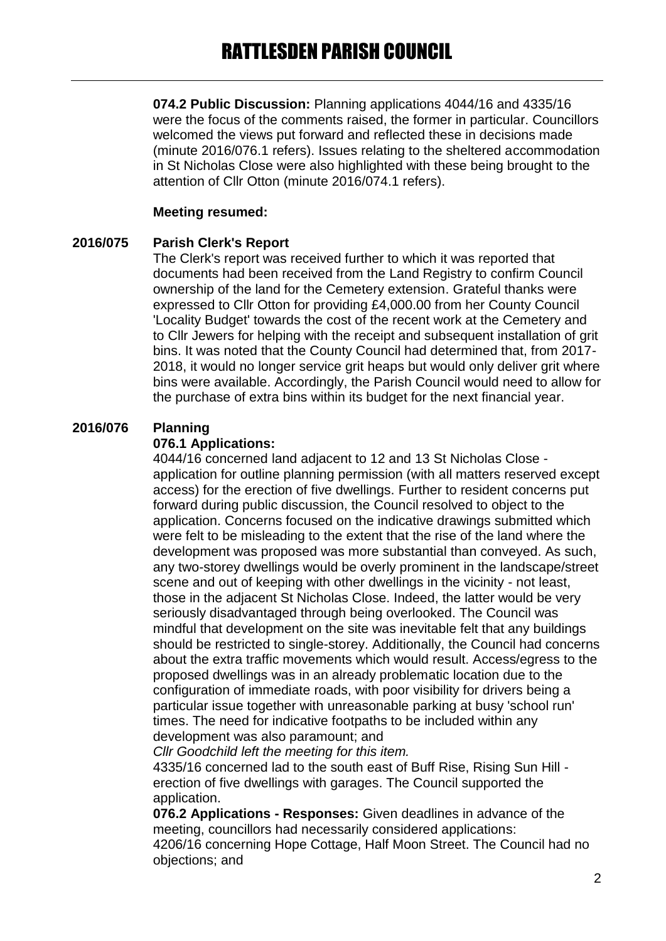**074.2 Public Discussion:** Planning applications 4044/16 and 4335/16 were the focus of the comments raised, the former in particular. Councillors welcomed the views put forward and reflected these in decisions made (minute 2016/076.1 refers). Issues relating to the sheltered accommodation in St Nicholas Close were also highlighted with these being brought to the attention of Cllr Otton (minute 2016/074.1 refers).

#### **Meeting resumed:**

#### **2016/075 Parish Clerk's Report**

The Clerk's report was received further to which it was reported that documents had been received from the Land Registry to confirm Council ownership of the land for the Cemetery extension. Grateful thanks were expressed to Cllr Otton for providing £4,000.00 from her County Council 'Locality Budget' towards the cost of the recent work at the Cemetery and to Cllr Jewers for helping with the receipt and subsequent installation of grit bins. It was noted that the County Council had determined that, from 2017- 2018, it would no longer service grit heaps but would only deliver grit where bins were available. Accordingly, the Parish Council would need to allow for the purchase of extra bins within its budget for the next financial year.

#### **2016/076 Planning**

#### **076.1 Applications:**

4044/16 concerned land adjacent to 12 and 13 St Nicholas Close application for outline planning permission (with all matters reserved except access) for the erection of five dwellings. Further to resident concerns put forward during public discussion, the Council resolved to object to the application. Concerns focused on the indicative drawings submitted which were felt to be misleading to the extent that the rise of the land where the development was proposed was more substantial than conveyed. As such, any two-storey dwellings would be overly prominent in the landscape/street scene and out of keeping with other dwellings in the vicinity - not least, those in the adjacent St Nicholas Close. Indeed, the latter would be very seriously disadvantaged through being overlooked. The Council was mindful that development on the site was inevitable felt that any buildings should be restricted to single-storey. Additionally, the Council had concerns about the extra traffic movements which would result. Access/egress to the proposed dwellings was in an already problematic location due to the configuration of immediate roads, with poor visibility for drivers being a particular issue together with unreasonable parking at busy 'school run' times. The need for indicative footpaths to be included within any development was also paramount; and

*Cllr Goodchild left the meeting for this item.*

4335/16 concerned lad to the south east of Buff Rise, Rising Sun Hill erection of five dwellings with garages. The Council supported the application.

**076.2 Applications - Responses:** Given deadlines in advance of the meeting, councillors had necessarily considered applications: 4206/16 concerning Hope Cottage, Half Moon Street. The Council had no objections; and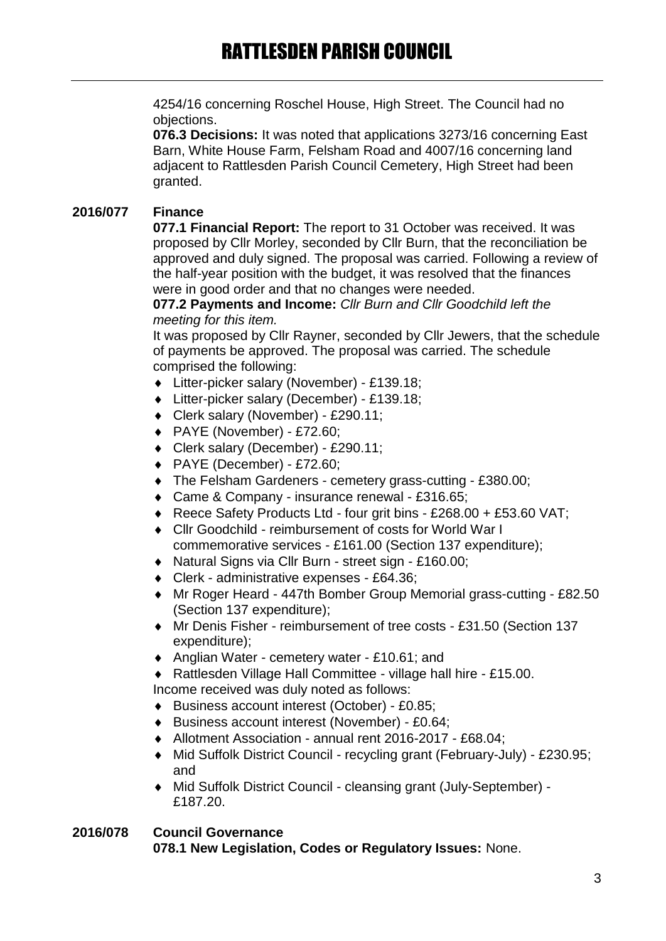4254/16 concerning Roschel House, High Street. The Council had no objections.

**076.3 Decisions:** It was noted that applications 3273/16 concerning East Barn, White House Farm, Felsham Road and 4007/16 concerning land adjacent to Rattlesden Parish Council Cemetery, High Street had been granted.

# **2016/077 Finance**

**077.1 Financial Report:** The report to 31 October was received. It was proposed by Cllr Morley, seconded by Cllr Burn, that the reconciliation be approved and duly signed. The proposal was carried. Following a review of the half-year position with the budget, it was resolved that the finances were in good order and that no changes were needed.

**077.2 Payments and Income:** *Cllr Burn and Cllr Goodchild left the meeting for this item.*

It was proposed by Cllr Rayner, seconded by Cllr Jewers, that the schedule of payments be approved. The proposal was carried. The schedule comprised the following:

- Litter-picker salary (November) £139.18;
- Litter-picker salary (December) £139.18;
- Clerk salary (November) £290.11;
- PAYE (November) £72.60;
- Clerk salary (December) £290.11;
- PAYE (December) £72.60;
- The Felsham Gardeners cemetery grass-cutting £380.00;
- Came & Company insurance renewal £316.65;
- ◆ Reece Safety Products Ltd four grit bins £268.00 + £53.60 VAT;
- Cllr Goodchild reimbursement of costs for World War I commemorative services - £161.00 (Section 137 expenditure);
- Natural Signs via Cllr Burn street sign £160.00;
- Clerk administrative expenses £64.36;
- Mr Roger Heard 447th Bomber Group Memorial grass-cutting £82.50 (Section 137 expenditure);
- Mr Denis Fisher reimbursement of tree costs £31.50 (Section 137 expenditure);
- ◆ Anglian Water cemetery water £10.61; and
- Rattlesden Village Hall Committee village hall hire £15.00.

Income received was duly noted as follows:

- Business account interest (October) £0.85;
- Business account interest (November) £0.64;
- Allotment Association annual rent 2016-2017 £68.04;
- Mid Suffolk District Council recycling grant (February-July) £230.95; and
- Mid Suffolk District Council cleansing grant (July-September) £187.20.

## **2016/078 Council Governance 078.1 New Legislation, Codes or Regulatory Issues:** None.